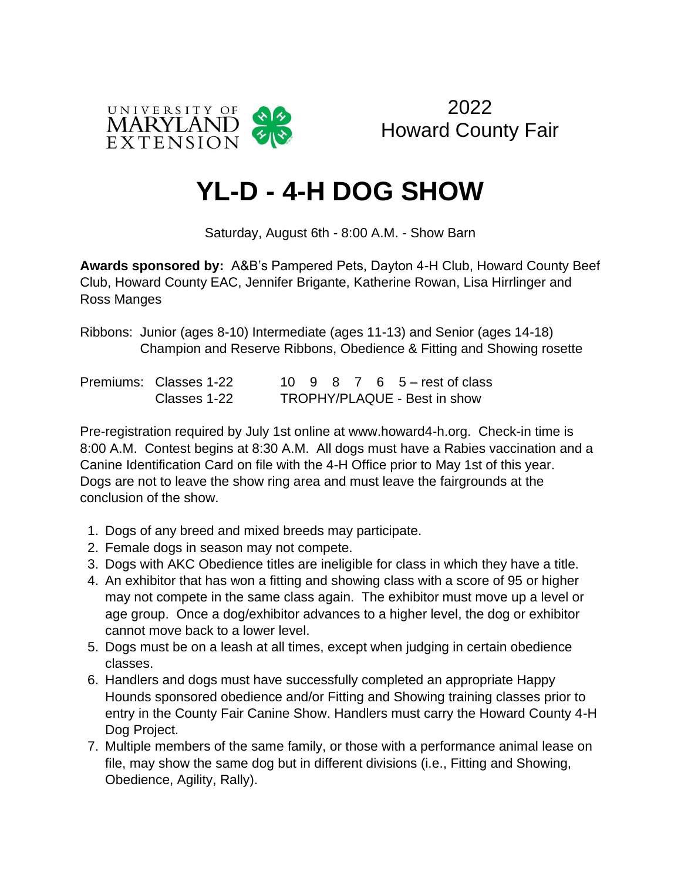

2022 Howard County Fair

## **YL-D - 4-H DOG SHOW**

Saturday, August 6th - 8:00 A.M. - Show Barn

**Awards sponsored by:** A&B's Pampered Pets, Dayton 4-H Club, Howard County Beef Club, Howard County EAC, Jennifer Brigante, Katherine Rowan, Lisa Hirrlinger and Ross Manges

Ribbons: Junior (ages 8-10) Intermediate (ages 11-13) and Senior (ages 14-18) Champion and Reserve Ribbons, Obedience & Fitting and Showing rosette

| Premiums: Classes 1-22 |                              |  |  |  | 10 9 8 7 6 5 – rest of class |  |
|------------------------|------------------------------|--|--|--|------------------------------|--|
| Classes 1-22           | TROPHY/PLAQUE - Best in show |  |  |  |                              |  |

Pre-registration required by July 1st online at www.howard4-h.org. Check-in time is 8:00 A.M. Contest begins at 8:30 A.M. All dogs must have a Rabies vaccination and a Canine Identification Card on file with the 4-H Office prior to May 1st of this year. Dogs are not to leave the show ring area and must leave the fairgrounds at the conclusion of the show.

- 1. Dogs of any breed and mixed breeds may participate.
- 2. Female dogs in season may not compete.
- 3. Dogs with AKC Obedience titles are ineligible for class in which they have a title.
- 4. An exhibitor that has won a fitting and showing class with a score of 95 or higher may not compete in the same class again. The exhibitor must move up a level or age group. Once a dog/exhibitor advances to a higher level, the dog or exhibitor cannot move back to a lower level.
- 5. Dogs must be on a leash at all times, except when judging in certain obedience classes.
- 6. Handlers and dogs must have successfully completed an appropriate Happy Hounds sponsored obedience and/or Fitting and Showing training classes prior to entry in the County Fair Canine Show. Handlers must carry the Howard County 4-H Dog Project.
- 7. Multiple members of the same family, or those with a performance animal lease on file, may show the same dog but in different divisions (i.e., Fitting and Showing, Obedience, Agility, Rally).